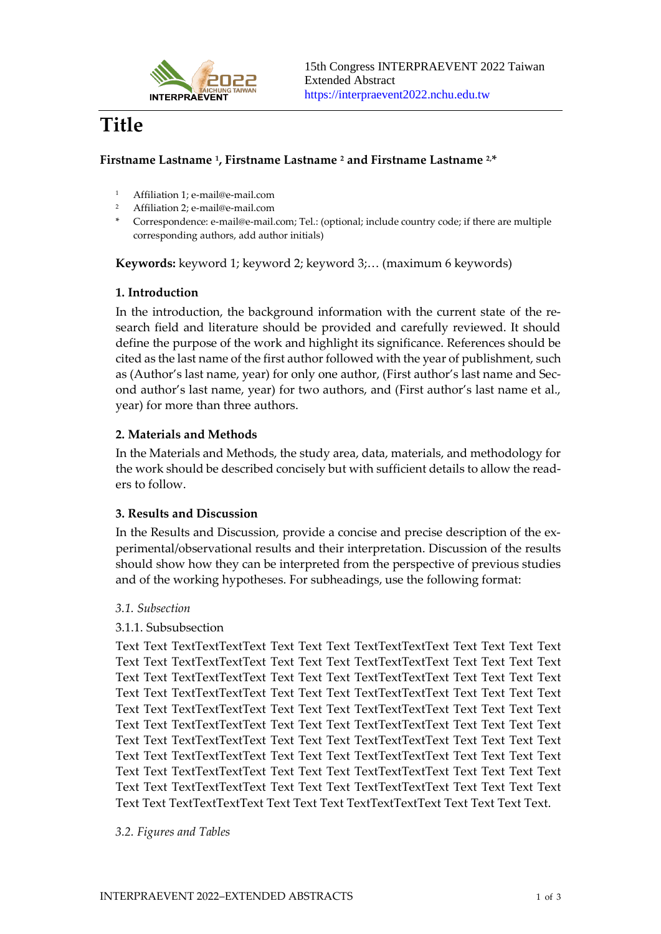

# **Title**

## **Firstname Lastname <sup>1</sup> , Firstname Lastname <sup>2</sup> and Firstname Lastname 2,\***

- <sup>1</sup> Affiliation 1; e-mail@e-mail.com
- <sup>2</sup> Affiliation 2; e-mail@e-mail.com
- \* Correspondence: e-mail@e-mail.com; Tel.: (optional; include country code; if there are multiple corresponding authors, add author initials)

**Keywords:** keyword 1; keyword 2; keyword 3;… (maximum 6 keywords)

## **1. Introduction**

In the introduction, the background information with the current state of the research field and literature should be provided and carefully reviewed. It should define the purpose of the work and highlight its significance. References should be cited as the last name of the first author followed with the year of publishment, such as (Author's last name, year) for only one author, (First author's last name and Second author's last name, year) for two authors, and (First author's last name et al., year) for more than three authors.

## **2. Materials and Methods**

In the Materials and Methods, the study area, data, materials, and methodology for the work should be described concisely but with sufficient details to allow the readers to follow.

#### **3. Results and Discussion**

In the Results and Discussion, provide a concise and precise description of the experimental/observational results and their interpretation. Discussion of the results should show how they can be interpreted from the perspective of previous studies and of the working hypotheses. For subheadings, use the following format:

#### *3.1. Subsection*

#### 3.1.1. Subsubsection

Text Text TextTextTextText Text Text Text TextTextTextText Text Text Text Text Text Text TextTextTextText Text Text Text TextTextTextText Text Text Text Text Text Text TextTextTextText Text Text Text TextTextTextText Text Text Text Text Text Text TextTextTextText Text Text Text TextTextTextText Text Text Text Text Text Text TextTextTextText Text Text Text TextTextTextText Text Text Text Text Text Text TextTextTextText Text Text Text TextTextTextText Text Text Text Text Text Text TextTextTextText Text Text Text TextTextTextText Text Text Text Text Text Text TextTextTextText Text Text Text TextTextTextText Text Text Text Text Text Text TextTextTextText Text Text Text TextTextTextText Text Text Text Text Text Text TextTextTextText Text Text Text TextTextTextText Text Text Text Text Text Text TextTextTextText Text Text Text TextTextTextText Text Text Text Text.

#### *3.2. Figures and Tables*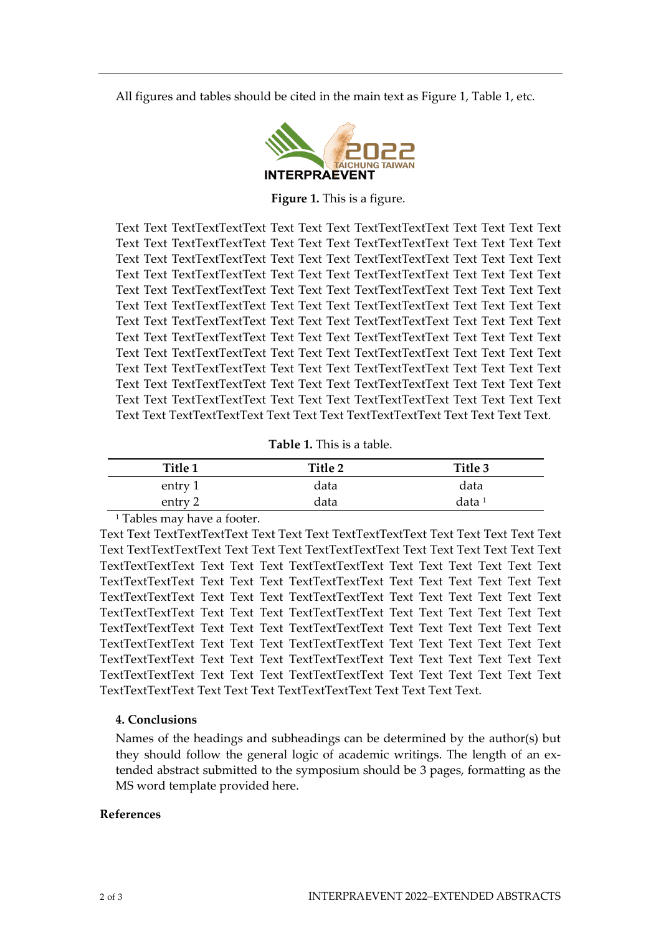All figures and tables should be cited in the main text as Figure 1, Table 1, etc.



**Figure 1.** This is a figure.

Text Text TextTextTextText Text Text Text TextTextTextText Text Text Text Text Text Text TextTextTextText Text Text Text TextTextTextText Text Text Text Text Text Text TextTextTextText Text Text Text TextTextTextText Text Text Text Text Text Text TextTextTextText Text Text Text TextTextTextText Text Text Text Text Text Text TextTextTextText Text Text Text TextTextTextText Text Text Text Text Text Text TextTextTextText Text Text Text TextTextTextText Text Text Text Text Text Text TextTextTextText Text Text Text TextTextTextText Text Text Text Text Text Text TextTextTextText Text Text Text TextTextTextText Text Text Text Text Text Text TextTextTextText Text Text Text TextTextTextText Text Text Text Text Text Text TextTextTextText Text Text Text TextTextTextText Text Text Text Text Text Text TextTextTextText Text Text Text TextTextTextText Text Text Text Text Text Text TextTextTextText Text Text Text TextTextTextText Text Text Text Text Text Text TextTextTextText Text Text Text TextTextTextText Text Text Text Text.

| Table 1. This is a table. |  |  |  |
|---------------------------|--|--|--|
|---------------------------|--|--|--|

| Title 1 | Title 2 | Title 3           |
|---------|---------|-------------------|
| entry 1 | data    | data              |
| entry 2 | data    | data <sup>1</sup> |

<sup>1</sup> Tables may have a footer.

Text Text TextTextTextText Text Text Text TextTextTextText Text Text Text Text Text Text TextTextTextText Text Text Text TextTextTextText Text Text Text Text Text Text TextTextTextText Text Text Text TextTextTextText Text Text Text Text Text Text TextTextTextText Text Text Text TextTextTextText Text Text Text Text Text Text TextTextTextText Text Text Text TextTextTextText Text Text Text Text Text Text TextTextTextText Text Text Text TextTextTextText Text Text Text Text Text Text TextTextTextText Text Text Text TextTextTextText Text Text Text Text Text Text TextTextTextText Text Text Text TextTextTextText Text Text Text Text Text Text TextTextTextText Text Text Text TextTextTextText Text Text Text Text Text Text TextTextTextText Text Text Text TextTextTextText Text Text Text Text Text Text TextTextTextText Text Text Text TextTextTextText Text Text Text Text.

#### **4. Conclusions**

Names of the headings and subheadings can be determined by the author(s) but they should follow the general logic of academic writings. The length of an extended abstract submitted to the symposium should be 3 pages, formatting as the MS word template provided here.

#### **References**